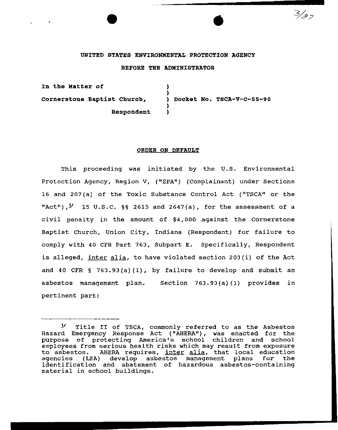## UNITED STATES ENVIRONMENTAL PROTECTION AGENCY

•

د و /

## BEFORE THE ADMINISTRATOR

In tbe Matter of Cornerstone Baptist Church, Respondent ) ) ) Docket No. TSCA-V-C-SS-90 ) )

#### ORDER ON DEFAULT

This proceeding was initiated by the U.S. Environmental Protection Agency, Region V, ("EPA") (Complainant} under Sections 16 and 207(a) of the Toxic Substance Control Act ("TSCA" or the "Act"), $^{\prime\prime}$  15 U.S.C. §§ 2615 and 2647(a), for the assessment of a civil penalty in the amount of \$4, ooo against the Cornerstone Baptist Church, Union City, Indiana (Respondent) for failure to comply with 40 CFR Part 763, Subpart E. Specifically, Respondent is alleged, inter alia, to have violated section 203(i) of the Act and 40 CFR  $\S$  763.93(a)(1), by failure to develop and submit an asbestos management plan. Section 763.93(a) (1) provides in pertinent part:

*<sup>1</sup>t* Title II of TSCA, commonly referred to as the Asbestos Hazard Emergency Response Act ( "AHERA"), was enacted for the purpose of protecting America's school children and school employees from serious health risks which may result from exposure to asbestos. AHERA requires, inter alia, that local education<br>agencies (LEA) develop asbestos management plans for the develop asbestos management plans identification and abatement of hazardous asbestos-containing material in school buildings.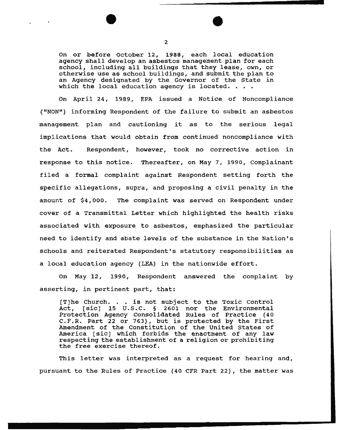On or before October 12, 1988, each local education agency shall develop an asbestos management plan for each school, including all buildings that they lease, own, or otherwise use as school buildings, and submit the plan to an Agency designated by the Governor of the State in which the local education agency is located. . . .

On April 24, 1989, EPA issued a Notice of Noncompliance ("NON") informing Respondent of the failure to submit an asbestos management plan and cautioning it as to the serious legal implications that would obtain from continued noncompliance with the Act. Respondent, however, took no corrective action in response to this notice. Thereafter, on May 7, 1990, complainant filed a formal complaint against Respondent setting forth the specific allegations, supra, and proposing a civil penalty in the amount of \$4,000. The complaint was served on Respondent under cover of a Transmittal Letter which highlighted the health risks associated with exposure to asbestos, emphasized the particular need to identify and abate levels of the substance in the Nation's schools and reiterated Respondent's statutory responsibilities as a local education agency (LEA) in the nationwide effort.

On May 12, 1990, Respondent answered the complaint by asserting, in pertinent part, that:

[T]he Church. . is not subject to the Toxic control Act, [sic] 15 U.S.C. § 2601 nor the Environmental Protection Agency Consolidated Rules of Practice (40 C.F.R. Part 22 or 763), but is protected by the First Amendment of the Constitution of the United States of America [sic] which forbids the enactment of any law respecting the establishment of a religion or prohibiting the free exercise thereof.

This letter was interpreted as a request for hearing and, pursuant to the Rules of Practice {40 CFR Part 22), the matter was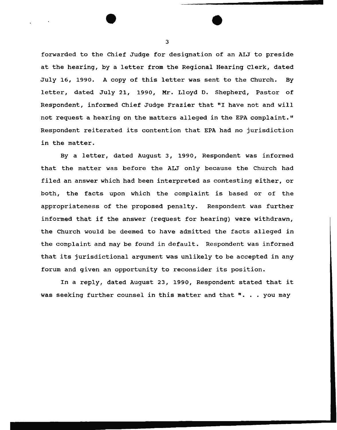forwarded to the Chief Judge for designation of an ALJ to preside at the hearing, by a letter from the Regional Hearing Clerk, dated July 16, 1990. A copy of this letter was sent to the Church. By letter, dated July 21, 1990, Mr. Lloyd D. Shepherd, Pastor of Respondent, informed Chief Judge Frazier that "I have not and will not request a hearing on the matters alleged in the EPA complaint." Respondent reiterated its contention that EPA had no jurisdiction in the matter.

By a letter, dated August 3, 1990, Respondent was informed that the matter was before the ALJ only because the Church had filed an answer which had been interpreted as contesting either, or both, the facts upon which the complaint is based or of the appropriateness of the proposed penalty. Respondent was further informed that if the answer (request for hearing) were withdrawn, the Church would be deemed to have admitted the facts alleged in the complaint and may be found in default. Respondent was informed that its jurisdictional argument was unlikely to be accepted in any forum and given an opportunity to reconsider its position.

In a reply, dated August 23, 1990, Respondent stated that it was seeking further counsel in this matter and that  $" \cdot \cdot \cdot$  you may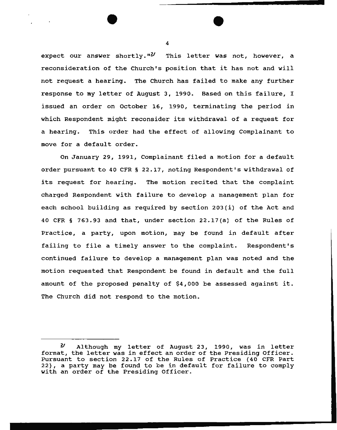expect our answer shortly." $\frac{2}{3}$  This letter was not, however, a reconsideration of the Church's position that it has not and will not request a hearing. The Church has failed to make any further response to my letter of August 3, 1990. Based on this failure, I issued an order on October 16, 1990, terminating the period in which Respondent might reconsider its withdrawal of a request for a hearing. This order had the effect of allowing Complainant to move for a default order.

On January 29, 1991, Complainant filed a motion for a default order pursuant to 40 CFR § 22.17, noting Respondent's withdrawal of its request for hearing. The motion recited that the complaint charged Respondent with failure to develop a management plan for each school building as required by section 203(i) of the Act and 40 CFR § 763.93 and that, under section 22.17(a) of the Rules of Practice, a party, upon motion, may be found in default after failing to file a timely answer to the complaint. Respondent's continued failure to develop a management plan was noted and the motion requested that Respondent be found in default and the full amount of the proposed penalty of \$4,000 be assessed against it. The Church did not respond to the motion.

<sup>2/</sup> Although my letter of August 23, 1990, was in letter format, the letter was in effect an order of the Presiding Officer. Pursuant to section 22.17 of the Rules of Practice (40 CFR Part 22), a party may be found to be in default for failure to comply with an order of the Presiding Officer.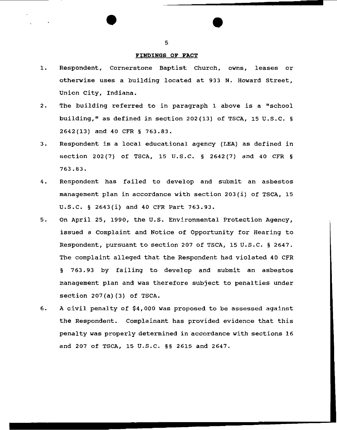#### FINDINGS OF **FACT**

- 1. Respondent, Cornerstone Baptist Church, owns, leases or otherwise uses a building located at 933 N. Howard Street, Union *city,* Indiana.
- 2. The building referred to in paragraph 1 above is a "school building," as defined in section 202(13) of TSCA, 15 U.S.C. § 2642(13) and 40 CFR § 763.83.
- 3. Respondent is a local educational agency (LEA) as defined in section 202(7) of TSCA, 15 U.S.C. § 2642(7) and 40 CFR § 763.83.
- 4. Respondent has failed to develop and submit an asbestos management plan in accordance with section 203(1) of TSCA, 15 u.s.c. § 2643(i) and 40 CFR Part 763.93.
- 5. On April 25, 1990, the U.S. Environmental Protection Agency, issued a Complaint and Notice of Opportunity for Hearing to Respondent, pursuant to section 207 of TSCA, 15 u.s.c. § 2647. The complaint alleged that the Respondent had violated 40 CFR § 763.93 by failing to develop and submit an asbestos management plan and was therefore subject to penalties under section 207(a) (3) of TSCA.
- 6. A civil penalty of \$4,000 was proposed to be assessed against the Respondent. Complainant has provided evidence that this penalty was properly determined in accordance with sections 16 and 207 of TSCA, 15 u.s.c. §§ 2615 and 2647.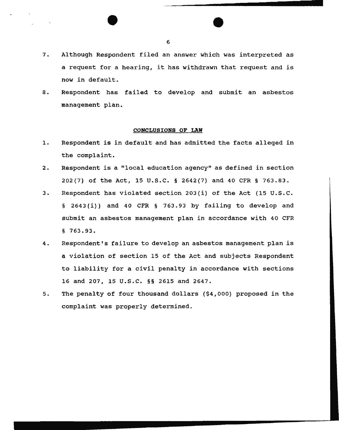- 7. Although Respondent filed an answer which was interpreted as a request for a hearing, it has withdrawn that request and is now in default.
- 8. Respondent has failed to develop and submit an asbestos management plan.

## **CONCLUSIONS OF LAW**

- 1. Respondent is in default and has admitted the facts alleged in the complaint.
- 2. Respondent is a "local education agency" as defined in section 202(7) of the Act, 15 u.s.c. § 2642(7) and 40 CFR § 763.83.
- 3. Respondent has violated section 203(i) of the Act (15 U.S.C. § 2643(i)) and 40 CFR § 763.93 by failing to develop and submit an asbestos management plan in accordance with 40 CFR § 763.93.
- 4. Respondent's failure to develop an asbestos management plan is a violation of section 15 of the Act and subjects Respondent to liability for a civil penalty in accordance with sections 16 and 207, 15 u.s.c. §§ 2615 and 2647.
- 5. The penalty of four thousand dollars (\$4,000) proposed in the complaint was properly determined.

6

\_\_\_\_\_\_\_\_\_\_\_\_\_\_\_\_ .......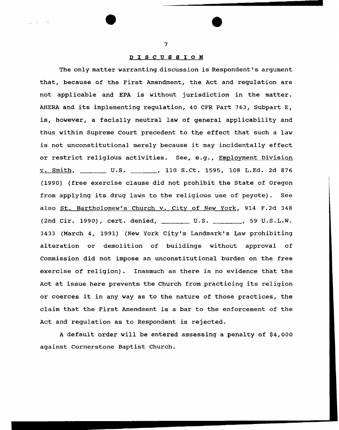## D I 8 C U 8 8 I 0 N

The only matter warranting discussion is Respondent's argument that, because of the First Amendment, the Act and regulation are not applicable and EPA is without jurisdiction in the matter. AHERA and its implementing regulation, 40 CFR Part 763, Subpart E, is, however, a facially neutral law of general applicability and thus within Supreme Court precedent to the effect that such a law is not unconstitutional merely because it may incidentally effect or restrict religious activities. See, e.g., Employment Division v. Smith, U.S. 110 S.Ct. 1595, 108 L.Ed. 2d 876 (1990) (free exercise clause did not prohibit the State of Oregon from applying its drug laws to the religious use of peyote). See also St. Bartholomew's Church v. City of New York, 914 F.2d 348 (2nd Cir. 1990), cert. denied, \_\_\_\_\_\_\_\_\_ U.S. \_\_\_\_\_\_\_, 59 U.S.L.W. 3433 (March 4, 1991) (New York City's Landmark's Law prohibiting alteration or demolition of buildings without approval of Commission did not impose an unconstitutional burden on the free exercise of religion). Inasmuch as there is no evidence that the Act at issue here prevents the Church from practicing its religion or coerces it in any way as to the nature of those practices, the claim that the First Amendment is a bar to the enforcement of the Act and regulation as to Respondent is rejected.

A default order will be entered assessing a penalty of \$4,000 against Cornerstone Baptist Church.

7

•